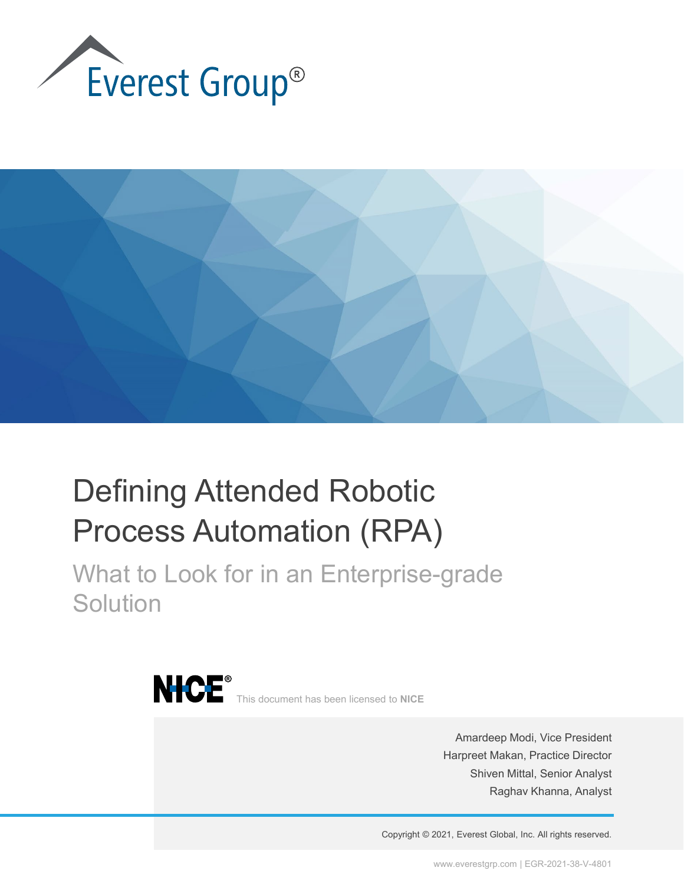



## Defining Attended Robotic Process Automation (RPA)

What to Look for in an Enterprise-grade **Solution** 



Amardeep Modi, Vice President Harpreet Makan, Practice Director Shiven Mittal, Senior Analyst Raghav Khanna, Analyst

Copyright © 2021, Everest Global, Inc. All rights reserved.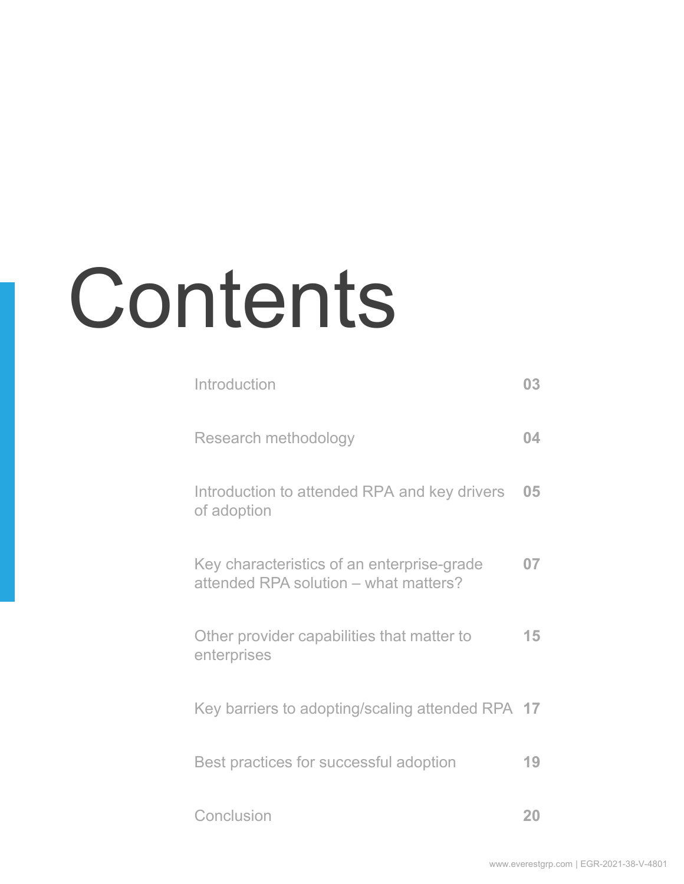# **Contents**

| Introduction                                                                        | 03 |
|-------------------------------------------------------------------------------------|----|
| Research methodology                                                                | 04 |
| Introduction to attended RPA and key drivers<br>of adoption                         | 05 |
| Key characteristics of an enterprise-grade<br>attended RPA solution – what matters? | 07 |
| Other provider capabilities that matter to<br>enterprises                           | 15 |
| Key barriers to adopting/scaling attended RPA                                       | 17 |
| Best practices for successful adoption                                              | 19 |
| Conclusion                                                                          | 20 |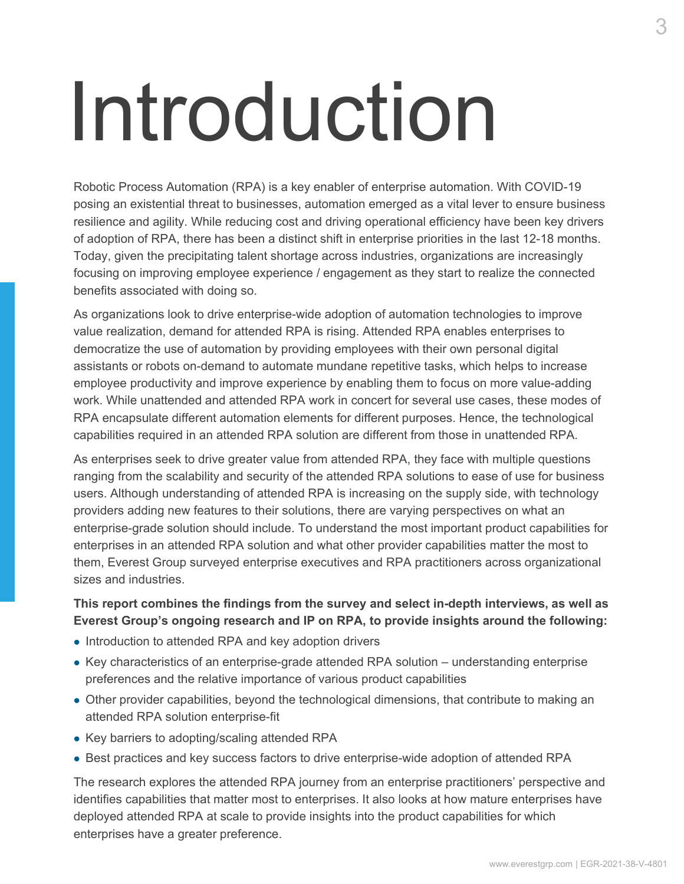## <span id="page-2-0"></span>Introduction

Robotic Process Automation (RPA) is a key enabler of enterprise automation. With COVID-19 posing an existential threat to businesses, automation emerged as a vital lever to ensure business resilience and agility. While reducing cost and driving operational efficiency have been key drivers of adoption of RPA, there has been a distinct shift in enterprise priorities in the last 12-18 months. Today, given the precipitating talent shortage across industries, organizations are increasingly focusing on improving employee experience / engagement as they start to realize the connected benefits associated with doing so.

As organizations look to drive enterprise-wide adoption of automation technologies to improve value realization, demand for attended RPA is rising. Attended RPA enables enterprises to democratize the use of automation by providing employees with their own personal digital assistants or robots on-demand to automate mundane repetitive tasks, which helps to increase employee productivity and improve experience by enabling them to focus on more value-adding work. While unattended and attended RPA work in concert for several use cases, these modes of RPA encapsulate different automation elements for different purposes. Hence, the technological capabilities required in an attended RPA solution are different from those in unattended RPA.

As enterprises seek to drive greater value from attended RPA, they face with multiple questions ranging from the scalability and security of the attended RPA solutions to ease of use for business users. Although understanding of attended RPA is increasing on the supply side, with technology providers adding new features to their solutions, there are varying perspectives on what an enterprise-grade solution should include. To understand the most important product capabilities for enterprises in an attended RPA solution and what other provider capabilities matter the most to them, Everest Group surveyed enterprise executives and RPA practitioners across organizational sizes and industries.

#### **This report combines the findings from the survey and select in-depth interviews, as well as Everest Group's ongoing research and IP on RPA, to provide insights around the following:**

- Introduction to attended RPA and key adoption drivers
- Key characteristics of an enterprise-grade attended RPA solution understanding enterprise preferences and the relative importance of various product capabilities
- Other provider capabilities, beyond the technological dimensions, that contribute to making an attended RPA solution enterprise-fit
- Key barriers to adopting/scaling attended RPA
- Best practices and key success factors to drive enterprise-wide adoption of attended RPA

The research explores the attended RPA journey from an enterprise practitioners' perspective and identifies capabilities that matter most to enterprises. It also looks at how mature enterprises have deployed attended RPA at scale to provide insights into the product capabilities for which enterprises have a greater preference.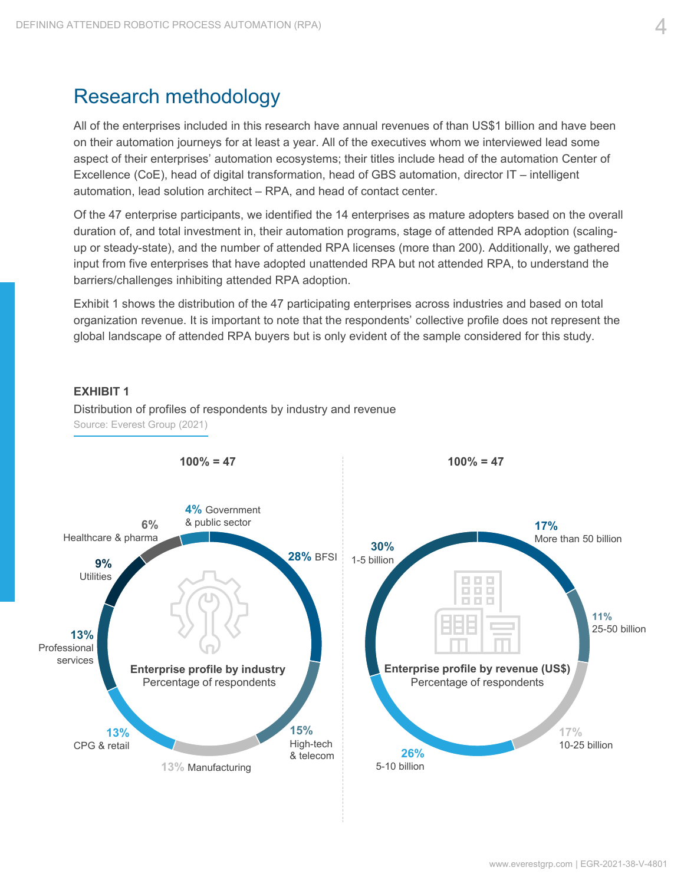## <span id="page-3-0"></span>Research methodology

All of the enterprises included in this research have annual revenues of than US\$1 billion and have been on their automation journeys for at least a year. All of the executives whom we interviewed lead some aspect of their enterprises' automation ecosystems; their titles include head of the automation Center of Excellence (CoE), head of digital transformation, head of GBS automation, director IT – intelligent automation, lead solution architect – RPA, and head of contact center.

Of the 47 enterprise participants, we identified the 14 enterprises as mature adopters based on the overall duration of, and total investment in, their automation programs, stage of attended RPA adoption (scalingup or steady-state), and the number of attended RPA licenses (more than 200). Additionally, we gathered input from five enterprises that have adopted unattended RPA but not attended RPA, to understand the barriers/challenges inhibiting attended RPA adoption.

Exhibit 1 shows the distribution of the 47 participating enterprises across industries and based on total organization revenue. It is important to note that the respondents' collective profile does not represent the global landscape of attended RPA buyers but is only evident of the sample considered for this study.

#### **EXHIBIT 1**

Distribution of profiles of respondents by industry and revenue Source: Everest Group (2021)

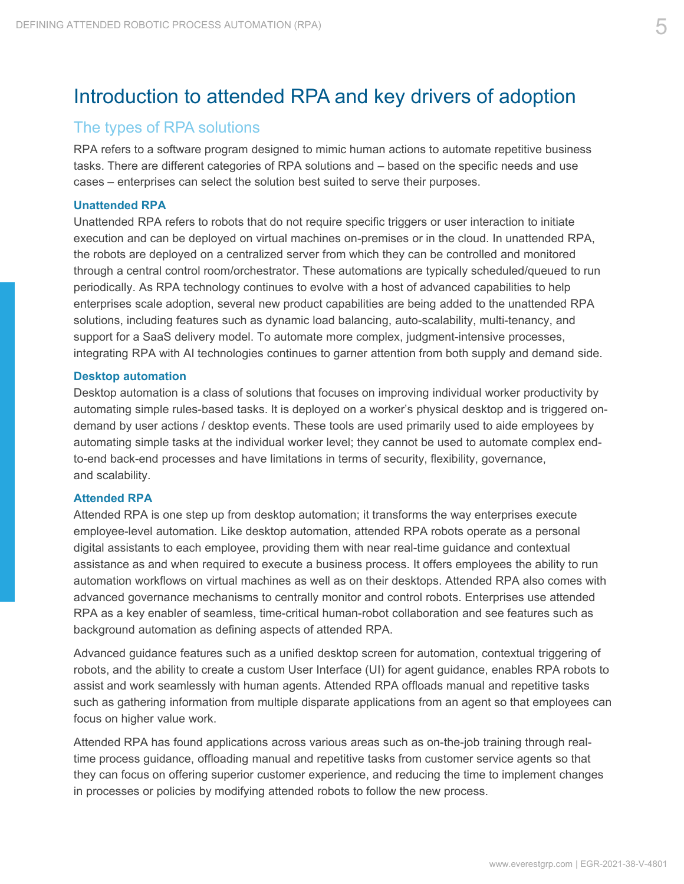## <span id="page-4-0"></span>Introduction to attended RPA and key drivers of adoption

#### The types of RPA solutions

RPA refers to a software program designed to mimic human actions to automate repetitive business tasks. There are different categories of RPA solutions and – based on the specific needs and use cases – enterprises can select the solution best suited to serve their purposes.

#### **Unattended RPA**

Unattended RPA refers to robots that do not require specific triggers or user interaction to initiate execution and can be deployed on virtual machines on-premises or in the cloud. In unattended RPA, the robots are deployed on a centralized server from which they can be controlled and monitored through a central control room/orchestrator. These automations are typically scheduled/queued to run periodically. As RPA technology continues to evolve with a host of advanced capabilities to help enterprises scale adoption, several new product capabilities are being added to the unattended RPA solutions, including features such as dynamic load balancing, auto-scalability, multi-tenancy, and support for a SaaS delivery model. To automate more complex, judgment-intensive processes, integrating RPA with AI technologies continues to garner attention from both supply and demand side.

#### **Desktop automation**

Desktop automation is a class of solutions that focuses on improving individual worker productivity by automating simple rules-based tasks. It is deployed on a worker's physical desktop and is triggered ondemand by user actions / desktop events. These tools are used primarily used to aide employees by automating simple tasks at the individual worker level; they cannot be used to automate complex endto-end back-end processes and have limitations in terms of security, flexibility, governance, and scalability.

#### **Attended RPA**

Attended RPA is one step up from desktop automation; it transforms the way enterprises execute employee-level automation. Like desktop automation, attended RPA robots operate as a personal digital assistants to each employee, providing them with near real-time guidance and contextual assistance as and when required to execute a business process. It offers employees the ability to run automation workflows on virtual machines as well as on their desktops. Attended RPA also comes with advanced governance mechanisms to centrally monitor and control robots. Enterprises use attended RPA as a key enabler of seamless, time-critical human-robot collaboration and see features such as background automation as defining aspects of attended RPA.

Advanced guidance features such as a unified desktop screen for automation, contextual triggering of robots, and the ability to create a custom User Interface (UI) for agent guidance, enables RPA robots to assist and work seamlessly with human agents. Attended RPA offloads manual and repetitive tasks such as gathering information from multiple disparate applications from an agent so that employees can focus on higher value work.

Attended RPA has found applications across various areas such as on-the-job training through realtime process guidance, offloading manual and repetitive tasks from customer service agents so that they can focus on offering superior customer experience, and reducing the time to implement changes in processes or policies by modifying attended robots to follow the new process.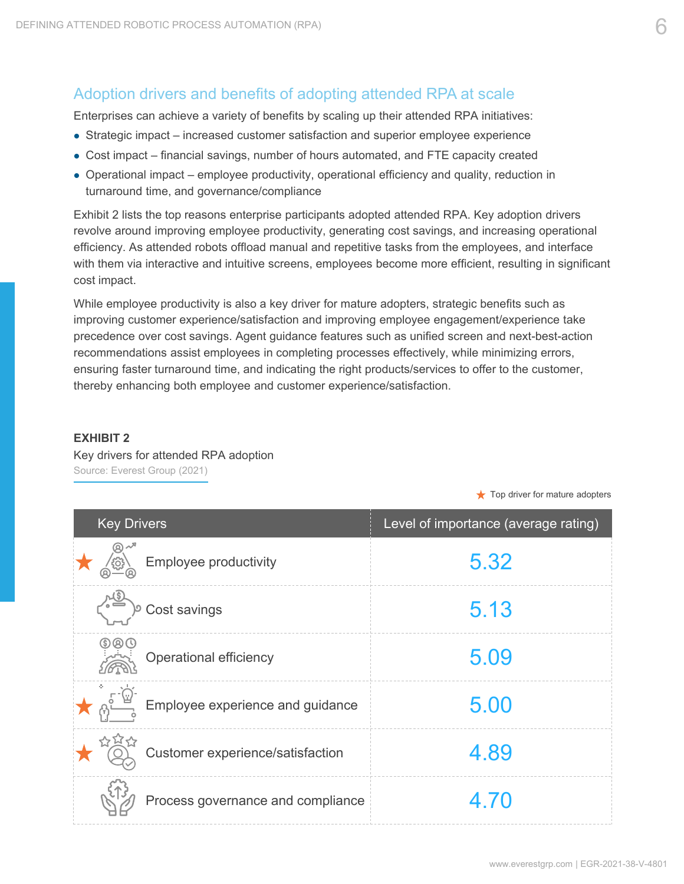### Adoption drivers and benefits of adopting attended RPA at scale

Enterprises can achieve a variety of benefits by scaling up their attended RPA initiatives:

- Strategic impact increased customer satisfaction and superior employee experience
- Cost impact financial savings, number of hours automated, and FTE capacity created
- Operational impact employee productivity, operational efficiency and quality, reduction in turnaround time, and governance/compliance

Exhibit 2 lists the top reasons enterprise participants adopted attended RPA. Key adoption drivers revolve around improving employee productivity, generating cost savings, and increasing operational efficiency. As attended robots offload manual and repetitive tasks from the employees, and interface with them via interactive and intuitive screens, employees become more efficient, resulting in significant cost impact.

While employee productivity is also a key driver for mature adopters, strategic benefits such as improving customer experience/satisfaction and improving employee engagement/experience take precedence over cost savings. Agent guidance features such as unified screen and next-best-action recommendations assist employees in completing processes effectively, while minimizing errors, ensuring faster turnaround time, and indicating the right products/services to offer to the customer, thereby enhancing both employee and customer experience/satisfaction.

#### **EXHIBIT 2**

Key drivers for attended RPA adoption Source: Everest Group (2021)

 $\bigstar$  Top driver for mature adopters

| <b>Key Drivers</b>                | Level of importance (average rating) |
|-----------------------------------|--------------------------------------|
| Employee productivity             | 5.32                                 |
| Cost savings                      | 5.13                                 |
| <b>Operational efficiency</b>     | 5.09                                 |
| Employee experience and guidance  | 5.00                                 |
| Customer experience/satisfaction  | 4.89                                 |
| Process governance and compliance | 4.70                                 |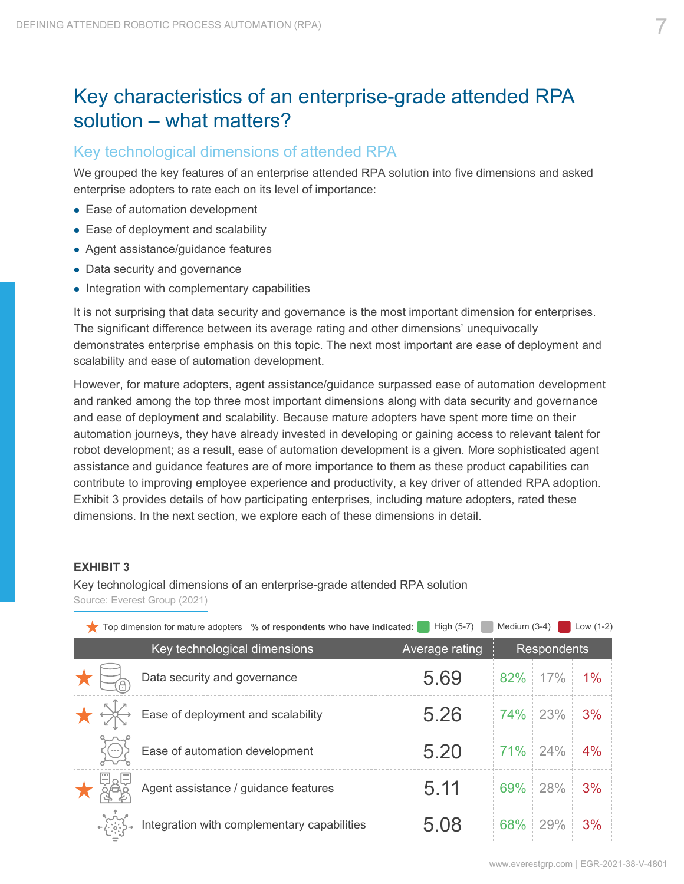## <span id="page-6-0"></span>Key characteristics of an enterprise-grade attended RPA solution – what matters?

#### Key technological dimensions of attended RPA

We grouped the key features of an enterprise attended RPA solution into five dimensions and asked enterprise adopters to rate each on its level of importance:

- Ease of automation development
- Ease of deployment and scalability
- Agent assistance/guidance features
- Data security and governance
- Integration with complementary capabilities

It is not surprising that data security and governance is the most important dimension for enterprises. The significant difference between its average rating and other dimensions' unequivocally demonstrates enterprise emphasis on this topic. The next most important are ease of deployment and scalability and ease of automation development.

However, for mature adopters, agent assistance/guidance surpassed ease of automation development and ranked among the top three most important dimensions along with data security and governance and ease of deployment and scalability. Because mature adopters have spent more time on their automation journeys, they have already invested in developing or gaining access to relevant talent for robot development; as a result, ease of automation development is a given. More sophisticated agent assistance and guidance features are of more importance to them as these product capabilities can contribute to improving employee experience and productivity, a key driver of attended RPA adoption. Exhibit 3 provides details of how participating enterprises, including mature adopters, rated these dimensions. In the next section, we explore each of these dimensions in detail.

#### **EXHIBIT 3**

Key technological dimensions of an enterprise-grade attended RPA solution Source: Everest Group (2021)

| $\bullet$ Top dimension for mature adopters % of respondents who have indicated: | High (5-7)     | Medium (3-4) |                    | Low $(1-2)$ |
|----------------------------------------------------------------------------------|----------------|--------------|--------------------|-------------|
| Key technological dimensions                                                     | Average rating |              | <b>Respondents</b> |             |
| Data security and governance                                                     | 5.69           |              | 82% 17%            | 1%          |
| Ease of deployment and scalability                                               | 5.26           |              | 74% 23%            | 3%          |
| Ease of automation development                                                   | 5.20           | 71% 24%      |                    | 4%          |
| Agent assistance / guidance features                                             | 5.11           |              | 69% 28%            | 3%          |
| Integration with complementary capabilities                                      | 5.08           | 68%          | 29%                | 3%          |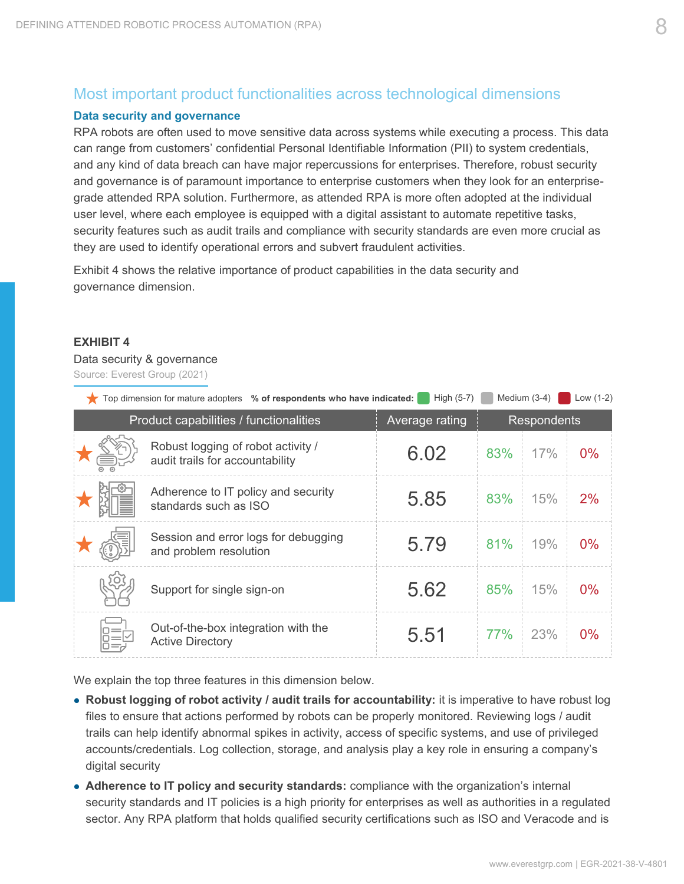### Most important product functionalities across technological dimensions

#### **Data security and governance**

RPA robots are often used to move sensitive data across systems while executing a process. This data can range from customers' confidential Personal Identifiable Information (PII) to system credentials, and any kind of data breach can have major repercussions for enterprises. Therefore, robust security and governance is of paramount importance to enterprise customers when they look for an enterprisegrade attended RPA solution. Furthermore, as attended RPA is more often adopted at the individual user level, where each employee is equipped with a digital assistant to automate repetitive tasks, security features such as audit trails and compliance with security standards are even more crucial as they are used to identify operational errors and subvert fraudulent activities.

Exhibit 4 shows the relative importance of product capabilities in the data security and governance dimension.

#### **EXHIBIT 4**

#### Data security & governance

Source: Everest Group (2021)

| Top dimension for mature adopters % of respondents who have indicated: | High (5-7)     |     | Medium $(3-4)$     | Low $(1-2)$ |
|------------------------------------------------------------------------|----------------|-----|--------------------|-------------|
| Product capabilities / functionalities                                 | Average rating |     | <b>Respondents</b> |             |
| Robust logging of robot activity /<br>audit trails for accountability  | 6.02           | 83% | 17%                | $0\%$       |
| Adherence to IT policy and security<br>standards such as ISO           | 5.85           | 83% | 15%                | 2%          |
| Session and error logs for debugging<br>and problem resolution         | 5.79           | 81% | 19%                | 0%          |
| Support for single sign-on                                             | 5.62           | 85% | 15%                | $0\%$       |
| Out-of-the-box integration with the<br><b>Active Directory</b>         | 5.51           | 77% | 23%                | 0%          |

We explain the top three features in this dimension below.

- **Robust logging of robot activity / audit trails for accountability:** it is imperative to have robust log files to ensure that actions performed by robots can be properly monitored. Reviewing logs / audit trails can help identify abnormal spikes in activity, access of specific systems, and use of privileged accounts/credentials. Log collection, storage, and analysis play a key role in ensuring a company's digital security
- **Adherence to IT policy and security standards:** compliance with the organization's internal security standards and IT policies is a high priority for enterprises as well as authorities in a regulated sector. Any RPA platform that holds qualified security certifications such as ISO and Veracode and is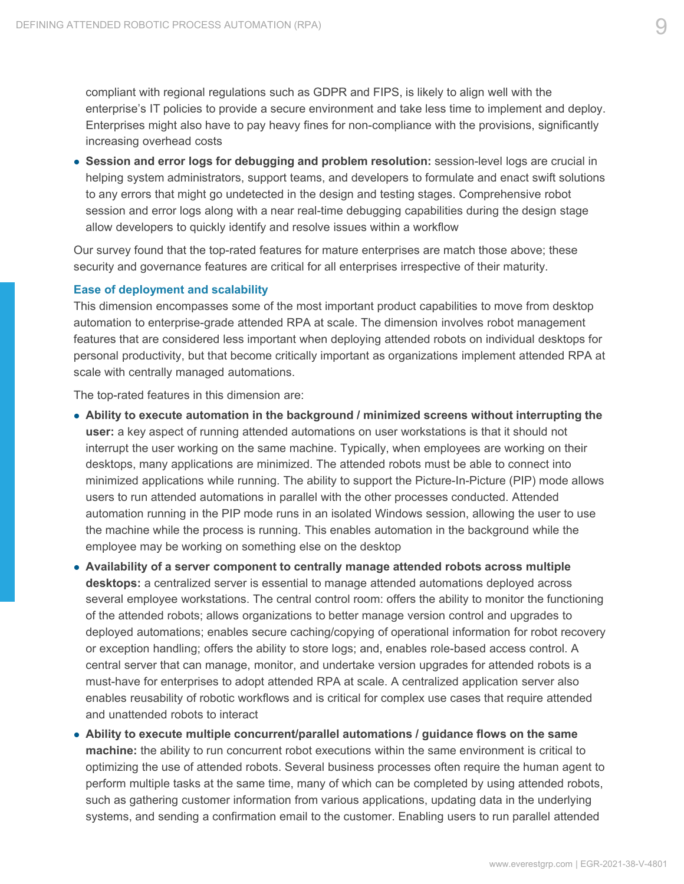compliant with regional regulations such as GDPR and FIPS, is likely to align well with the enterprise's IT policies to provide a secure environment and take less time to implement and deploy. Enterprises might also have to pay heavy fines for non-compliance with the provisions, significantly increasing overhead costs

 **Session and error logs for debugging and problem resolution:** session-level logs are crucial in helping system administrators, support teams, and developers to formulate and enact swift solutions to any errors that might go undetected in the design and testing stages. Comprehensive robot session and error logs along with a near real-time debugging capabilities during the design stage allow developers to quickly identify and resolve issues within a workflow

Our survey found that the top-rated features for mature enterprises are match those above; these security and governance features are critical for all enterprises irrespective of their maturity.

#### **Ease of deployment and scalability**

This dimension encompasses some of the most important product capabilities to move from desktop automation to enterprise-grade attended RPA at scale. The dimension involves robot management features that are considered less important when deploying attended robots on individual desktops for personal productivity, but that become critically important as organizations implement attended RPA at scale with centrally managed automations.

The top-rated features in this dimension are:

- **Ability to execute automation in the background / minimized screens without interrupting the user:** a key aspect of running attended automations on user workstations is that it should not interrupt the user working on the same machine. Typically, when employees are working on their desktops, many applications are minimized. The attended robots must be able to connect into minimized applications while running. The ability to support the Picture-In-Picture (PIP) mode allows users to run attended automations in parallel with the other processes conducted. Attended automation running in the PIP mode runs in an isolated Windows session, allowing the user to use the machine while the process is running. This enables automation in the background while the employee may be working on something else on the desktop
- **Availability of a server component to centrally manage attended robots across multiple desktops:** a centralized server is essential to manage attended automations deployed across several employee workstations. The central control room: offers the ability to monitor the functioning of the attended robots; allows organizations to better manage version control and upgrades to deployed automations; enables secure caching/copying of operational information for robot recovery or exception handling; offers the ability to store logs; and, enables role-based access control. A central server that can manage, monitor, and undertake version upgrades for attended robots is a must-have for enterprises to adopt attended RPA at scale. A centralized application server also enables reusability of robotic workflows and is critical for complex use cases that require attended and unattended robots to interact
- **Ability to execute multiple concurrent/parallel automations / guidance flows on the same machine:** the ability to run concurrent robot executions within the same environment is critical to optimizing the use of attended robots. Several business processes often require the human agent to perform multiple tasks at the same time, many of which can be completed by using attended robots, such as gathering customer information from various applications, updating data in the underlying systems, and sending a confirmation email to the customer. Enabling users to run parallel attended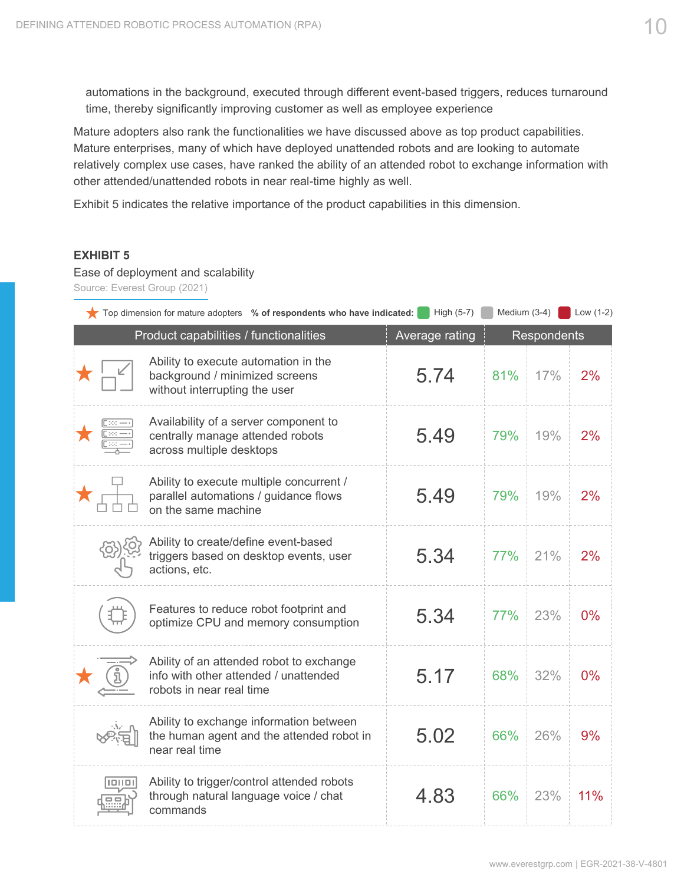automations in the background, executed through different event-based triggers, reduces turnaround time, thereby significantly improving customer as well as employee experience

Mature adopters also rank the functionalities we have discussed above as top product capabilities. Mature enterprises, many of which have deployed unattended robots and are looking to automate relatively complex use cases, have ranked the ability of an attended robot to exchange information with other attended/unattended robots in near real-time highly as well.

Exhibit 5 indicates the relative importance of the product capabilities in this dimension.

#### **EXHIBIT 5**

#### Ease of deployment and scalability

Source: Everest Group (2021)

|  | Top dimension for mature adopters % of respondents who have indicated:                                        | High (5-7)     | Medium (3-4) |             | Low $(1-2)$ |
|--|---------------------------------------------------------------------------------------------------------------|----------------|--------------|-------------|-------------|
|  | Product capabilities / functionalities                                                                        | Average rating |              | Respondents |             |
|  | Ability to execute automation in the<br>background / minimized screens<br>without interrupting the user       | 5.74           | 81%          | 17%         | 2%          |
|  | Availability of a server component to<br>centrally manage attended robots<br>across multiple desktops         | 5.49           | 79%          | 19%         | 2%          |
|  | Ability to execute multiple concurrent /<br>parallel automations / guidance flows<br>on the same machine      | 5.49           | 79%          | 19%         | 2%          |
|  | Ability to create/define event-based<br>triggers based on desktop events, user<br>actions, etc.               | 5.34           | 77%          | 21%         | 2%          |
|  | Features to reduce robot footprint and<br>optimize CPU and memory consumption                                 | 5.34           | 77%          | 23%         | 0%          |
|  | Ability of an attended robot to exchange<br>info with other attended / unattended<br>robots in near real time | 5.17           | 68%          | 32%         | $0\%$       |
|  | Ability to exchange information between<br>the human agent and the attended robot in<br>near real time        | 5.02           | 66%          | 26%         | 9%          |
|  | Ability to trigger/control attended robots<br>through natural language voice / chat<br>commands               | 4.83           | 66%          | 23%         | 11%         |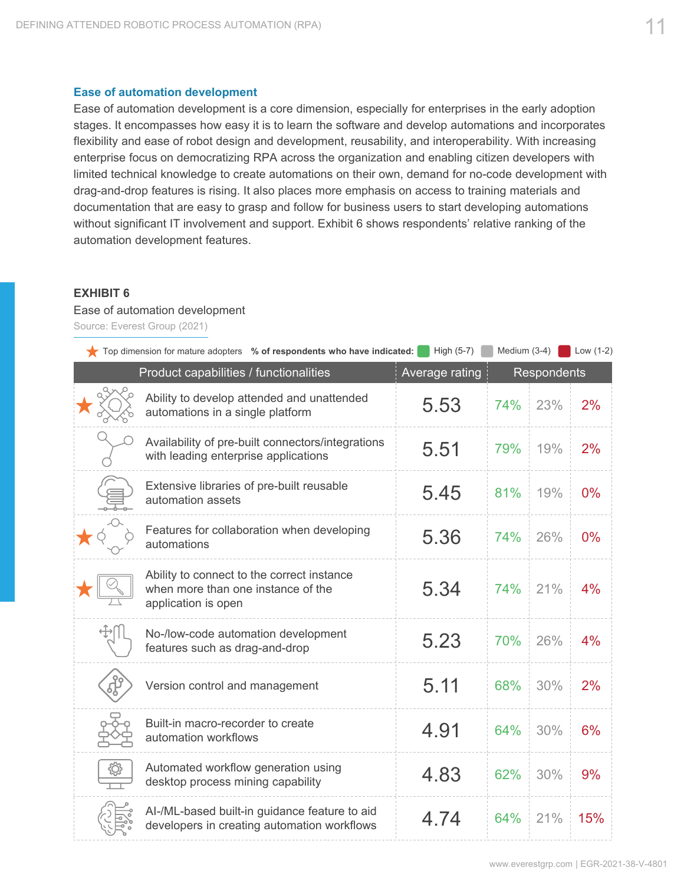#### **Ease of automation development**

Ease of automation development is a core dimension, especially for enterprises in the early adoption stages. It encompasses how easy it is to learn the software and develop automations and incorporates flexibility and ease of robot design and development, reusability, and interoperability. With increasing enterprise focus on democratizing RPA across the organization and enabling citizen developers with limited technical knowledge to create automations on their own, demand for no-code development with drag-and-drop features is rising. It also places more emphasis on access to training materials and documentation that are easy to grasp and follow for business users to start developing automations without significant IT involvement and support. Exhibit 6 shows respondents' relative ranking of the automation development features.

#### **EXHIBIT 6**

#### Ease of automation development

Source: Everest Group (2021)

| Top dimension for mature adopters % of respondents who have indicated:                                  | High (5-7)     | Medium (3-4) |                    | Low $(1-2)$ |
|---------------------------------------------------------------------------------------------------------|----------------|--------------|--------------------|-------------|
| Product capabilities / functionalities                                                                  | Average rating |              | <b>Respondents</b> |             |
| Ability to develop attended and unattended<br>automations in a single platform                          | 5.53           | 74%          | 23%                | 2%          |
| Availability of pre-built connectors/integrations<br>with leading enterprise applications               | 5.51           | 79%          | 19%                | 2%          |
| Extensive libraries of pre-built reusable<br>automation assets                                          | 5.45           | 81%          | 19%                | 0%          |
| Features for collaboration when developing<br>automations                                               | 5.36           | 74%          | 26%                | 0%          |
| Ability to connect to the correct instance<br>when more than one instance of the<br>application is open | 5.34           | 74%          | 21%                | 4%          |
| No-/low-code automation development<br>features such as drag-and-drop                                   | 5.23           | 70%          | 26%                | 4%          |
| Version control and management                                                                          | 5.11           | 68%          | 30%                | 2%          |
| Built-in macro-recorder to create<br>automation workflows                                               | 4.91           | 64%          | 30%                | 6%          |
| Automated workflow generation using<br>desktop process mining capability                                | 4.83           | 62%          | 30%                | 9%          |
| Al-/ML-based built-in guidance feature to aid<br>developers in creating automation workflows            | 4.74           | 64%          | 21%                | 15%         |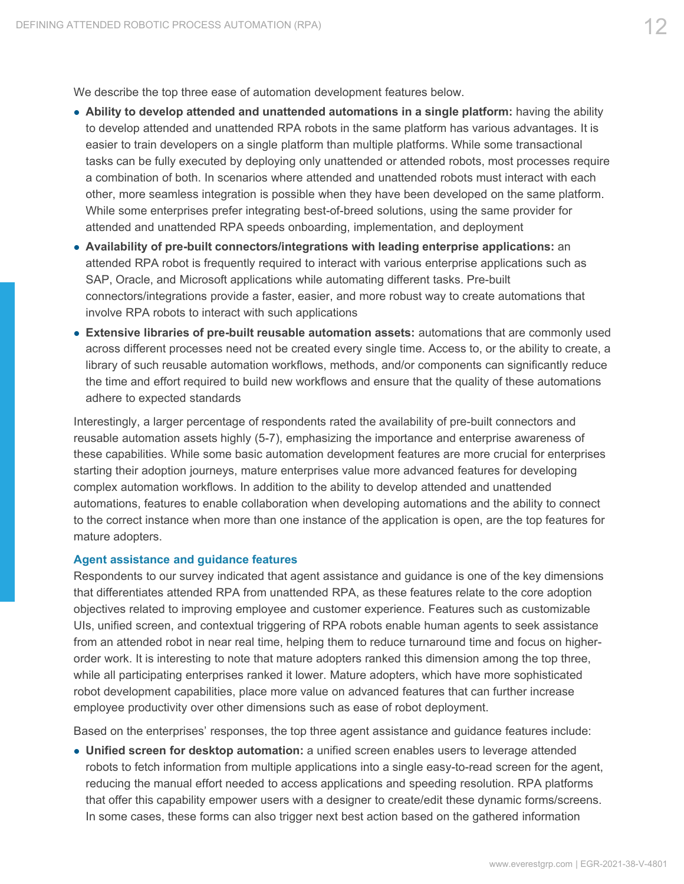We describe the top three ease of automation development features below.

- **Ability to develop attended and unattended automations in a single platform:** having the ability to develop attended and unattended RPA robots in the same platform has various advantages. It is easier to train developers on a single platform than multiple platforms. While some transactional tasks can be fully executed by deploying only unattended or attended robots, most processes require a combination of both. In scenarios where attended and unattended robots must interact with each other, more seamless integration is possible when they have been developed on the same platform. While some enterprises prefer integrating best-of-breed solutions, using the same provider for attended and unattended RPA speeds onboarding, implementation, and deployment
- **Availability of pre-built connectors/integrations with leading enterprise applications:** an attended RPA robot is frequently required to interact with various enterprise applications such as SAP, Oracle, and Microsoft applications while automating different tasks. Pre-built connectors/integrations provide a faster, easier, and more robust way to create automations that involve RPA robots to interact with such applications
- **Extensive libraries of pre-built reusable automation assets:** automations that are commonly used across different processes need not be created every single time. Access to, or the ability to create, a library of such reusable automation workflows, methods, and/or components can significantly reduce the time and effort required to build new workflows and ensure that the quality of these automations adhere to expected standards

Interestingly, a larger percentage of respondents rated the availability of pre-built connectors and reusable automation assets highly (5-7), emphasizing the importance and enterprise awareness of these capabilities. While some basic automation development features are more crucial for enterprises starting their adoption journeys, mature enterprises value more advanced features for developing complex automation workflows. In addition to the ability to develop attended and unattended automations, features to enable collaboration when developing automations and the ability to connect to the correct instance when more than one instance of the application is open, are the top features for mature adopters.

#### **Agent assistance and guidance features**

Respondents to our survey indicated that agent assistance and guidance is one of the key dimensions that differentiates attended RPA from unattended RPA, as these features relate to the core adoption objectives related to improving employee and customer experience. Features such as customizable UIs, unified screen, and contextual triggering of RPA robots enable human agents to seek assistance from an attended robot in near real time, helping them to reduce turnaround time and focus on higherorder work. It is interesting to note that mature adopters ranked this dimension among the top three, while all participating enterprises ranked it lower. Mature adopters, which have more sophisticated robot development capabilities, place more value on advanced features that can further increase employee productivity over other dimensions such as ease of robot deployment.

Based on the enterprises' responses, the top three agent assistance and guidance features include:

 **Unified screen for desktop automation:** a unified screen enables users to leverage attended robots to fetch information from multiple applications into a single easy-to-read screen for the agent, reducing the manual effort needed to access applications and speeding resolution. RPA platforms that offer this capability empower users with a designer to create/edit these dynamic forms/screens. In some cases, these forms can also trigger next best action based on the gathered information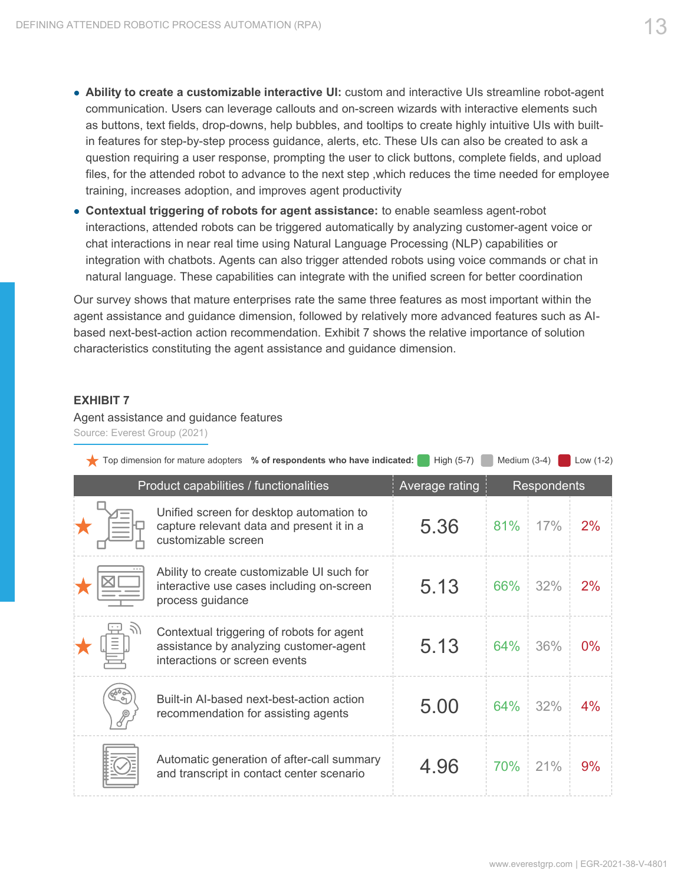- **Ability to create a customizable interactive UI:** custom and interactive UIs streamline robot-agent communication. Users can leverage callouts and on-screen wizards with interactive elements such as buttons, text fields, drop-downs, help bubbles, and tooltips to create highly intuitive UIs with builtin features for step-by-step process guidance, alerts, etc. These UIs can also be created to ask a question requiring a user response, prompting the user to click buttons, complete fields, and upload files, for the attended robot to advance to the next step ,which reduces the time needed for employee training, increases adoption, and improves agent productivity
- **Contextual triggering of robots for agent assistance:** to enable seamless agent-robot interactions, attended robots can be triggered automatically by analyzing customer-agent voice or chat interactions in near real time using Natural Language Processing (NLP) capabilities or integration with chatbots. Agents can also trigger attended robots using voice commands or chat in natural language. These capabilities can integrate with the unified screen for better coordination

Our survey shows that mature enterprises rate the same three features as most important within the agent assistance and guidance dimension, followed by relatively more advanced features such as AIbased next-best-action action recommendation. Exhibit 7 shows the relative importance of solution characteristics constituting the agent assistance and guidance dimension.

#### **EXHIBIT 7**

Agent assistance and guidance features Source: Everest Group (2021)

|   | Top dimension for mature adopters % of respondents who have indicated:                                               | High $(5-7)$   | Medium $(3-4)$ |                    | Low $(1-2)$ |
|---|----------------------------------------------------------------------------------------------------------------------|----------------|----------------|--------------------|-------------|
|   | Product capabilities / functionalities                                                                               | Average rating |                | <b>Respondents</b> |             |
|   | Unified screen for desktop automation to<br>capture relevant data and present it in a<br>customizable screen         | 5.36           | 81%            | 17%                | 2%          |
|   | Ability to create customizable UI such for<br>interactive use cases including on-screen<br>process guidance          | 5.13           | 66%            | 32%                | 2%          |
|   | Contextual triggering of robots for agent<br>assistance by analyzing customer-agent<br>interactions or screen events | 5.13           | 64%            | 36%                | $0\%$       |
| ⇘ | Built-in Al-based next-best-action action<br>recommendation for assisting agents                                     | 5.00           | 64%            | 32%                | 4%          |
|   | Automatic generation of after-call summary<br>and transcript in contact center scenario                              | 4.96           | 70%            | 21%                | 9%          |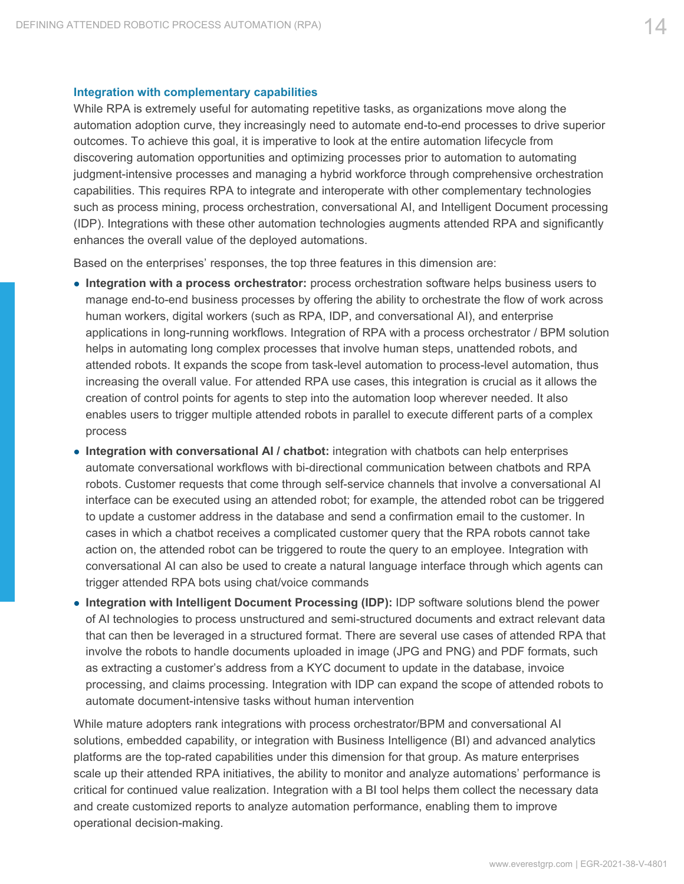#### **Integration with complementary capabilities**

While RPA is extremely useful for automating repetitive tasks, as organizations move along the automation adoption curve, they increasingly need to automate end-to-end processes to drive superior outcomes. To achieve this goal, it is imperative to look at the entire automation lifecycle from discovering automation opportunities and optimizing processes prior to automation to automating judgment-intensive processes and managing a hybrid workforce through comprehensive orchestration capabilities. This requires RPA to integrate and interoperate with other complementary technologies such as process mining, process orchestration, conversational AI, and Intelligent Document processing (IDP). Integrations with these other automation technologies augments attended RPA and significantly enhances the overall value of the deployed automations.

Based on the enterprises' responses, the top three features in this dimension are:

- **Integration with a process orchestrator:** process orchestration software helps business users to manage end-to-end business processes by offering the ability to orchestrate the flow of work across human workers, digital workers (such as RPA, IDP, and conversational AI), and enterprise applications in long-running workflows. Integration of RPA with a process orchestrator / BPM solution helps in automating long complex processes that involve human steps, unattended robots, and attended robots. It expands the scope from task-level automation to process-level automation, thus increasing the overall value. For attended RPA use cases, this integration is crucial as it allows the creation of control points for agents to step into the automation loop wherever needed. It also enables users to trigger multiple attended robots in parallel to execute different parts of a complex process
- **Integration with conversational AI / chatbot:** integration with chatbots can help enterprises automate conversational workflows with bi-directional communication between chatbots and RPA robots. Customer requests that come through self-service channels that involve a conversational AI interface can be executed using an attended robot; for example, the attended robot can be triggered to update a customer address in the database and send a confirmation email to the customer. In cases in which a chatbot receives a complicated customer query that the RPA robots cannot take action on, the attended robot can be triggered to route the query to an employee. Integration with conversational AI can also be used to create a natural language interface through which agents can trigger attended RPA bots using chat/voice commands
- **Integration with Intelligent Document Processing (IDP): IDP software solutions blend the power** of AI technologies to process unstructured and semi-structured documents and extract relevant data that can then be leveraged in a structured format. There are several use cases of attended RPA that involve the robots to handle documents uploaded in image (JPG and PNG) and PDF formats, such as extracting a customer's address from a KYC document to update in the database, invoice processing, and claims processing. Integration with IDP can expand the scope of attended robots to automate document-intensive tasks without human intervention

While mature adopters rank integrations with process orchestrator/BPM and conversational AI solutions, embedded capability, or integration with Business Intelligence (BI) and advanced analytics platforms are the top-rated capabilities under this dimension for that group. As mature enterprises scale up their attended RPA initiatives, the ability to monitor and analyze automations' performance is critical for continued value realization. Integration with a BI tool helps them collect the necessary data and create customized reports to analyze automation performance, enabling them to improve operational decision-making.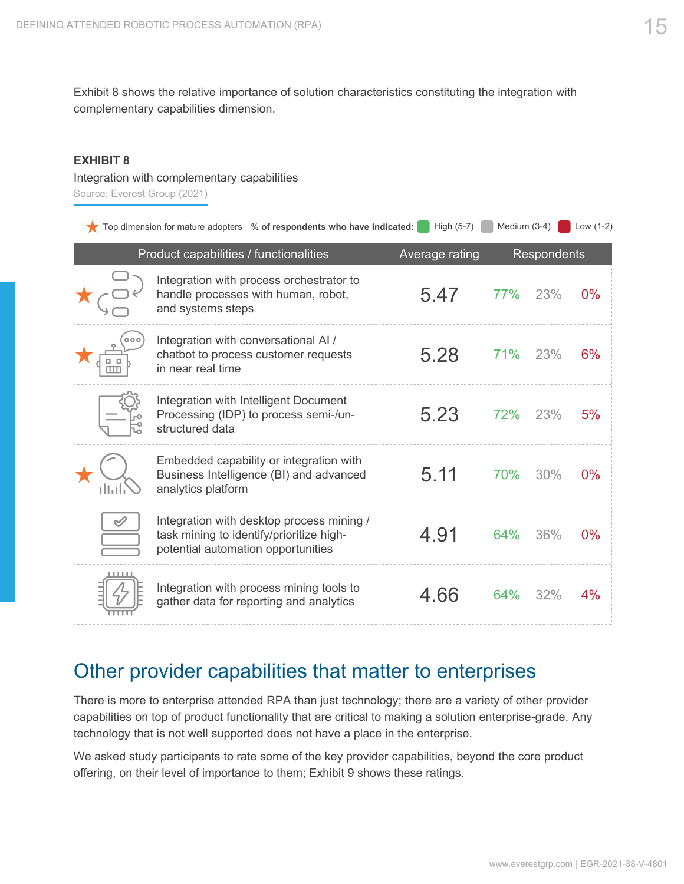<span id="page-14-0"></span>Exhibit 8 shows the relative importance of solution characteristics constituting the integration with complementary capabilities dimension.

#### **EXHIBIT 8**

Integration with complementary capabilities Source: Everest Group (2021)

|  | Top dimension for mature adopters % of respondents who have indicated: High (5-7) Medium (3-4) Nedium (3-4) |  |  |  |
|--|-------------------------------------------------------------------------------------------------------------|--|--|--|
|  |                                                                                                             |  |  |  |

|  | Product capabilities / functionalities                                                                                      | Average rating |     | <b>Respondents</b> |       |
|--|-----------------------------------------------------------------------------------------------------------------------------|----------------|-----|--------------------|-------|
|  | Integration with process orchestrator to<br>handle processes with human, robot,<br>and systems steps                        | 5.47           | 77% | 23%                | $0\%$ |
|  | Integration with conversational AI /<br>chatbot to process customer requests<br>in near real time                           | 5.28           | 71% | 23%                | 6%    |
|  | Integration with Intelligent Document<br>Processing (IDP) to process semi-/un-<br>structured data                           | 5.23           | 72% | 23%                | 5%    |
|  | Embedded capability or integration with<br>Business Intelligence (BI) and advanced<br>analytics platform                    | 5.11           | 70% | 30%                | $0\%$ |
|  | Integration with desktop process mining /<br>task mining to identify/prioritize high-<br>potential automation opportunities | 4.91           | 64% | 36%                | $0\%$ |
|  | Integration with process mining tools to<br>gather data for reporting and analytics                                         | 4.66           | 64% | 32%                | 4%    |

## Other provider capabilities that matter to enterprises

There is more to enterprise attended RPA than just technology; there are a variety of other provider capabilities on top of product functionality that are critical to making a solution enterprise-grade. Any technology that is not well supported does not have a place in the enterprise.

We asked study participants to rate some of the key provider capabilities, beyond the core product offering, on their level of importance to them; Exhibit 9 shows these ratings.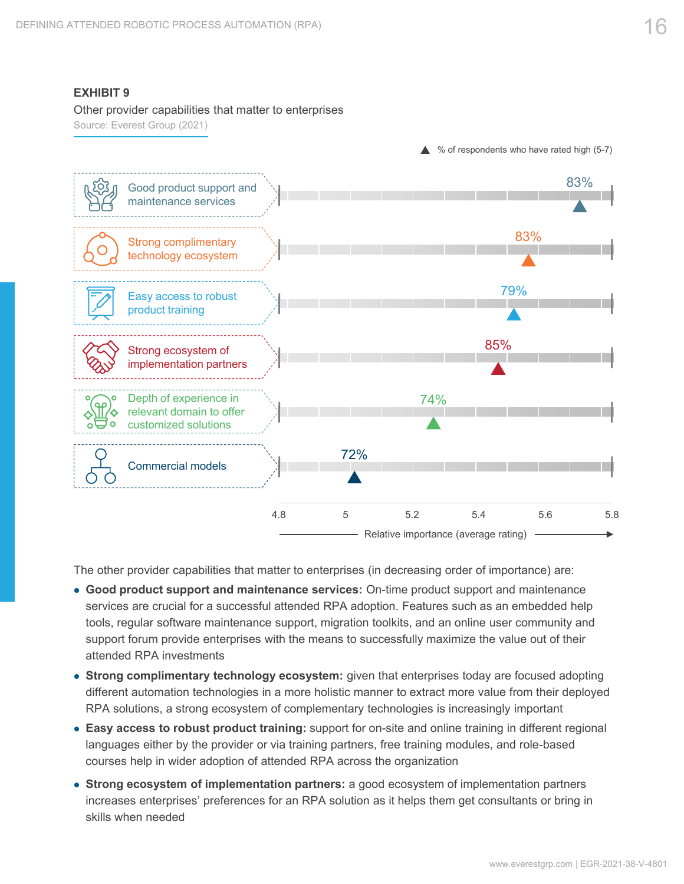#### **EXHIBIT 9**

#### Other provider capabilities that matter to enterprises

Source: Everest Group (2021)



The other provider capabilities that matter to enterprises (in decreasing order of importance) are:

- **Good product support and maintenance services:** On-time product support and maintenance services are crucial for a successful attended RPA adoption. Features such as an embedded help tools, regular software maintenance support, migration toolkits, and an online user community and support forum provide enterprises with the means to successfully maximize the value out of their attended RPA investments
- **Strong complimentary technology ecosystem:** given that enterprises today are focused adopting different automation technologies in a more holistic manner to extract more value from their deployed RPA solutions, a strong ecosystem of complementary technologies is increasingly important
- **Easy access to robust product training:** support for on-site and online training in different regional languages either by the provider or via training partners, free training modules, and role-based courses help in wider adoption of attended RPA across the organization
- **Strong ecosystem of implementation partners:** a good ecosystem of implementation partners increases enterprises' preferences for an RPA solution as it helps them get consultants or bring in skills when needed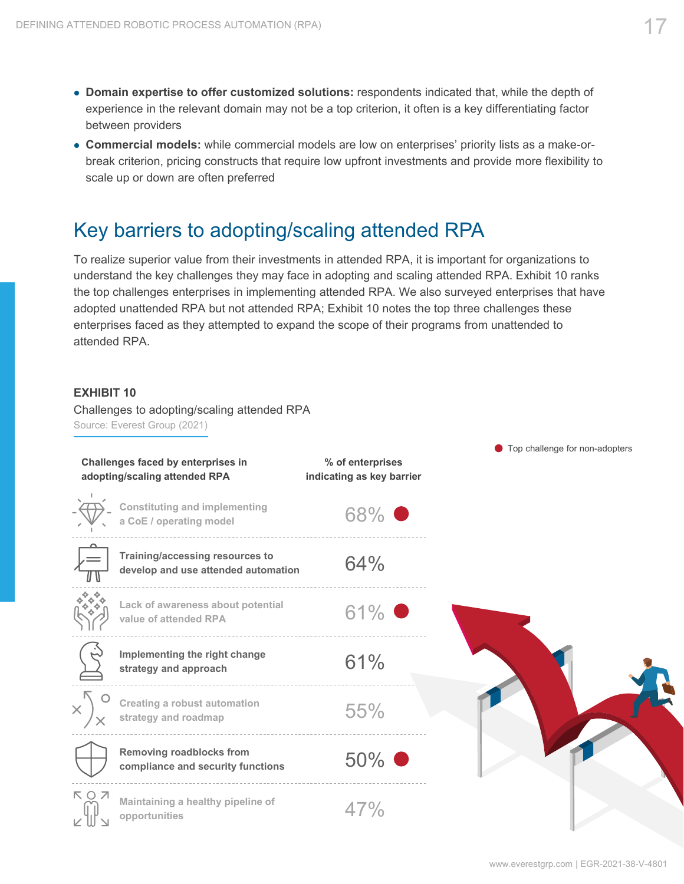- <span id="page-16-0"></span> **Domain expertise to offer customized solutions:** respondents indicated that, while the depth of experience in the relevant domain may not be a top criterion, it often is a key differentiating factor between providers
- **Commercial models:** while commercial models are low on enterprises' priority lists as a make-orbreak criterion, pricing constructs that require low upfront investments and provide more flexibility to scale up or down are often preferred

## Key barriers to adopting/scaling attended RPA

To realize superior value from their investments in attended RPA, it is important for organizations to understand the key challenges they may face in adopting and scaling attended RPA. Exhibit 10 ranks the top challenges enterprises in implementing attended RPA. We also surveyed enterprises that have adopted unattended RPA but not attended RPA; Exhibit 10 notes the top three challenges these enterprises faced as they attempted to expand the scope of their programs from unattended to attended RPA.

#### **EXHIBIT 10**

Challenges to adopting/scaling attended RPA Source: Everest Group (2021)

|     | Challenges faced by enterprises in                                     | % of enterprises          |
|-----|------------------------------------------------------------------------|---------------------------|
|     | adopting/scaling attended RPA                                          | indicating as key barrier |
|     | <b>Constituting and implementing</b><br>a CoE / operating model        | 68% ●                     |
|     | Training/accessing resources to<br>develop and use attended automation | 64%                       |
|     | Lack of awareness about potential<br>value of attended RPA             | 61%                       |
|     | Implementing the right change<br>strategy and approach                 | 61%                       |
|     | Creating a robust automation<br>strategy and roadmap                   | 55%                       |
|     | <b>Removing roadblocks from</b><br>compliance and security functions   | 50%                       |
| КОЛ | Maintaining a healthy pipeline of<br>opportunities                     | 47%                       |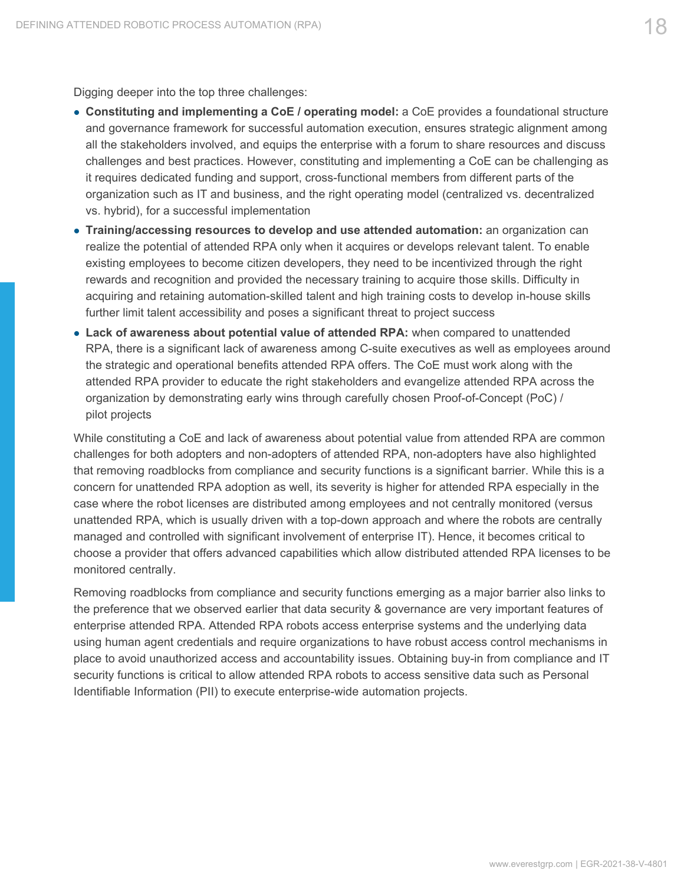Digging deeper into the top three challenges:

- **Constituting and implementing a CoE / operating model:** a CoE provides a foundational structure and governance framework for successful automation execution, ensures strategic alignment among all the stakeholders involved, and equips the enterprise with a forum to share resources and discuss challenges and best practices. However, constituting and implementing a CoE can be challenging as it requires dedicated funding and support, cross-functional members from different parts of the organization such as IT and business, and the right operating model (centralized vs. decentralized vs. hybrid), for a successful implementation
- **Training/accessing resources to develop and use attended automation:** an organization can realize the potential of attended RPA only when it acquires or develops relevant talent. To enable existing employees to become citizen developers, they need to be incentivized through the right rewards and recognition and provided the necessary training to acquire those skills. Difficulty in acquiring and retaining automation-skilled talent and high training costs to develop in-house skills further limit talent accessibility and poses a significant threat to project success
- **Lack of awareness about potential value of attended RPA:** when compared to unattended RPA, there is a significant lack of awareness among C-suite executives as well as employees around the strategic and operational benefits attended RPA offers. The CoE must work along with the attended RPA provider to educate the right stakeholders and evangelize attended RPA across the organization by demonstrating early wins through carefully chosen Proof-of-Concept (PoC) / pilot projects

While constituting a CoE and lack of awareness about potential value from attended RPA are common challenges for both adopters and non-adopters of attended RPA, non-adopters have also highlighted that removing roadblocks from compliance and security functions is a significant barrier. While this is a concern for unattended RPA adoption as well, its severity is higher for attended RPA especially in the case where the robot licenses are distributed among employees and not centrally monitored (versus unattended RPA, which is usually driven with a top-down approach and where the robots are centrally managed and controlled with significant involvement of enterprise IT). Hence, it becomes critical to choose a provider that offers advanced capabilities which allow distributed attended RPA licenses to be monitored centrally.

Removing roadblocks from compliance and security functions emerging as a major barrier also links to the preference that we observed earlier that data security & governance are very important features of enterprise attended RPA. Attended RPA robots access enterprise systems and the underlying data using human agent credentials and require organizations to have robust access control mechanisms in place to avoid unauthorized access and accountability issues. Obtaining buy-in from compliance and IT security functions is critical to allow attended RPA robots to access sensitive data such as Personal Identifiable Information (PII) to execute enterprise-wide automation projects.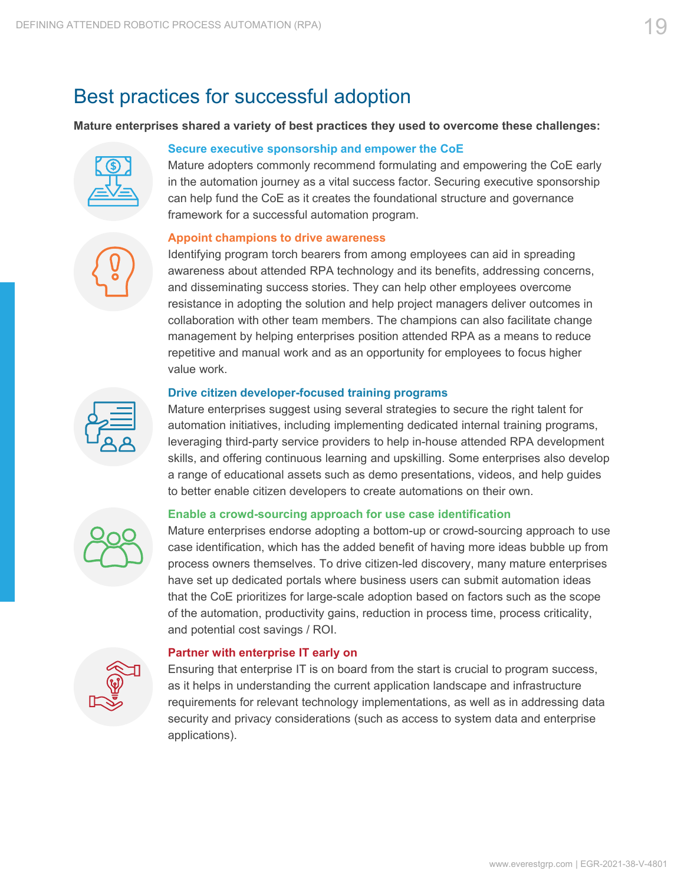## <span id="page-18-0"></span>Best practices for successful adoption

#### **Mature enterprises shared a variety of best practices they used to overcome these challenges:**



#### **Secure executive sponsorship and empower the CoE**

Mature adopters commonly recommend formulating and empowering the CoE early in the automation journey as a vital success factor. Securing executive sponsorship can help fund the CoE as it creates the foundational structure and governance framework for a successful automation program.

#### **Appoint champions to drive awareness**

Identifying program torch bearers from among employees can aid in spreading awareness about attended RPA technology and its benefits, addressing concerns, and disseminating success stories. They can help other employees overcome resistance in adopting the solution and help project managers deliver outcomes in collaboration with other team members. The champions can also facilitate change management by helping enterprises position attended RPA as a means to reduce repetitive and manual work and as an opportunity for employees to focus higher value work.

#### **Drive citizen developer-focused training programs**

Mature enterprises suggest using several strategies to secure the right talent for automation initiatives, including implementing dedicated internal training programs, leveraging third-party service providers to help in-house attended RPA development skills, and offering continuous learning and upskilling. Some enterprises also develop a range of educational assets such as demo presentations, videos, and help guides to better enable citizen developers to create automations on their own.



#### **Enable a crowd-sourcing approach for use case identification**

Mature enterprises endorse adopting a bottom-up or crowd-sourcing approach to use case identification, which has the added benefit of having more ideas bubble up from process owners themselves. To drive citizen-led discovery, many mature enterprises have set up dedicated portals where business users can submit automation ideas that the CoE prioritizes for large-scale adoption based on factors such as the scope of the automation, productivity gains, reduction in process time, process criticality, and potential cost savings / ROI.



#### **Partner with enterprise IT early on**

Ensuring that enterprise IT is on board from the start is crucial to program success, as it helps in understanding the current application landscape and infrastructure requirements for relevant technology implementations, as well as in addressing data security and privacy considerations (such as access to system data and enterprise applications).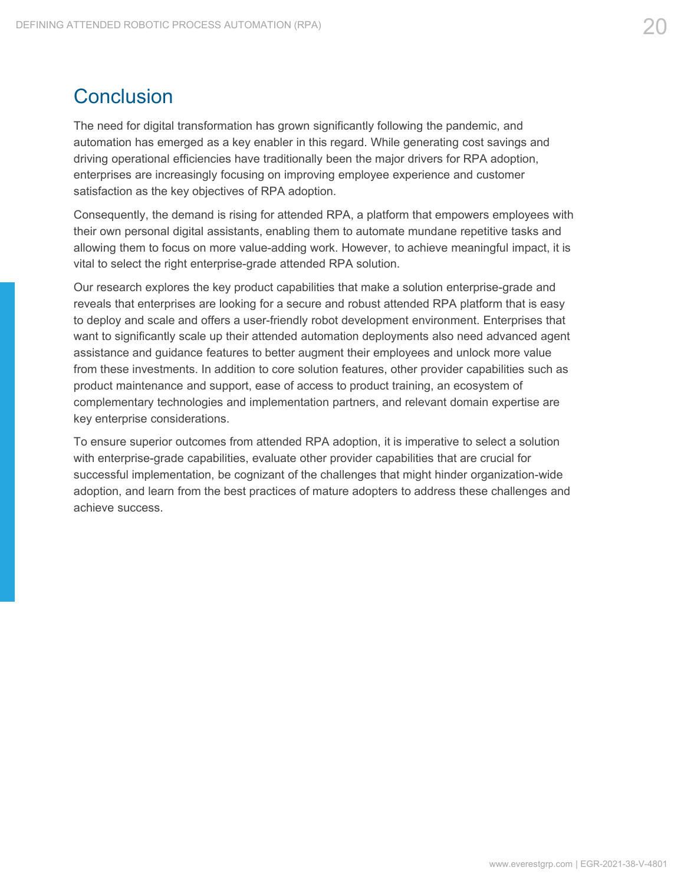## <span id="page-19-0"></span>**Conclusion**

The need for digital transformation has grown significantly following the pandemic, and automation has emerged as a key enabler in this regard. While generating cost savings and driving operational efficiencies have traditionally been the major drivers for RPA adoption, enterprises are increasingly focusing on improving employee experience and customer satisfaction as the key objectives of RPA adoption.

Consequently, the demand is rising for attended RPA, a platform that empowers employees with their own personal digital assistants, enabling them to automate mundane repetitive tasks and allowing them to focus on more value-adding work. However, to achieve meaningful impact, it is vital to select the right enterprise-grade attended RPA solution.

Our research explores the key product capabilities that make a solution enterprise-grade and reveals that enterprises are looking for a secure and robust attended RPA platform that is easy to deploy and scale and offers a user-friendly robot development environment. Enterprises that want to significantly scale up their attended automation deployments also need advanced agent assistance and guidance features to better augment their employees and unlock more value from these investments. In addition to core solution features, other provider capabilities such as product maintenance and support, ease of access to product training, an ecosystem of complementary technologies and implementation partners, and relevant domain expertise are key enterprise considerations.

To ensure superior outcomes from attended RPA adoption, it is imperative to select a solution with enterprise-grade capabilities, evaluate other provider capabilities that are crucial for successful implementation, be cognizant of the challenges that might hinder organization-wide adoption, and learn from the best practices of mature adopters to address these challenges and achieve success.